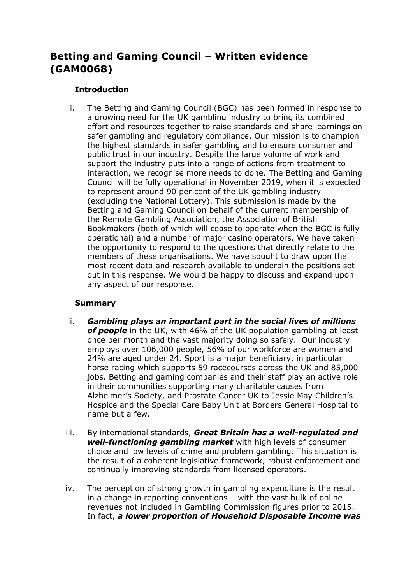# **Betting and Gaming Council – Written evidence (GAM0068)**

# **Introduction**

i. The Betting and Gaming Council (BGC) has been formed in response to a growing need for the UK gambling industry to bring its combined effort and resources together to raise standards and share learnings on safer gambling and regulatory compliance. Our mission is to champion the highest standards in safer gambling and to ensure consumer and public trust in our industry. Despite the large volume of work and support the industry puts into a range of actions from treatment to interaction, we recognise more needs to done. The Betting and Gaming Council will be fully operational in November 2019, when it is expected to represent around 90 per cent of the UK gambling industry (excluding the National Lottery). This submission is made by the Betting and Gaming Council on behalf of the current membership of the Remote Gambling Association, the Association of British Bookmakers (both of which will cease to operate when the BGC is fully operational) and a number of major casino operators. We have taken the opportunity to respond to the questions that directly relate to the members of these organisations. We have sought to draw upon the most recent data and research available to underpin the positions set out in this response. We would be happy to discuss and expand upon any aspect of our response.

# **Summary**

- ii. *Gambling plays an important part in the social lives of millions of people* in the UK, with 46% of the UK population gambling at least once per month and the vast majority doing so safely. Our industry employs over 106,000 people, 56% of our workforce are women and 24% are aged under 24. Sport is a major beneficiary, in particular horse racing which supports 59 racecourses across the UK and 85,000 jobs. Betting and gaming companies and their staff play an active role in their communities supporting many charitable causes from Alzheimer's Society, and Prostate Cancer UK to Jessie May Children's Hospice and the Special Care Baby Unit at Borders General Hospital to name but a few.
- iii. By international standards, *Great Britain has a well-regulated and well-functioning gambling market* with high levels of consumer choice and low levels of crime and problem gambling. This situation is the result of a coherent legislative framework, robust enforcement and continually improving standards from licensed operators.
- iv. The perception of strong growth in gambling expenditure is the result in a change in reporting conventions – with the vast bulk of online revenues not included in Gambling Commission figures prior to 2015. In fact, *a lower proportion of Household Disposable Income was*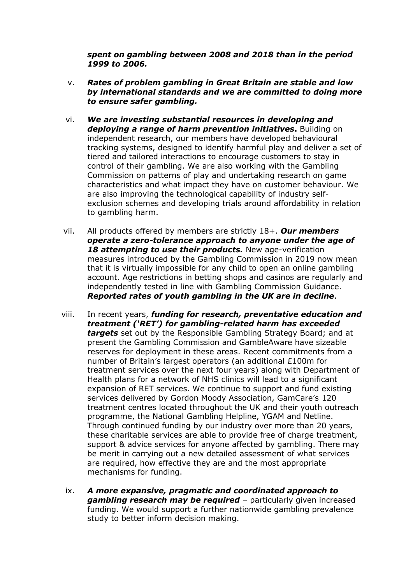*spent on gambling between 2008 and 2018 than in the period 1999 to 2006.*

- v. *Rates of problem gambling in Great Britain are stable and low by international standards and we are committed to doing more to ensure safer gambling.*
- vi. *We are investing substantial resources in developing and deploying a range of harm prevention initiatives***.** Building on independent research, our members have developed behavioural tracking systems, designed to identify harmful play and deliver a set of tiered and tailored interactions to encourage customers to stay in control of their gambling. We are also working with the Gambling Commission on patterns of play and undertaking research on game characteristics and what impact they have on customer behaviour. We are also improving the technological capability of industry selfexclusion schemes and developing trials around affordability in relation to gambling harm.
- vii. All products offered by members are strictly 18+. *Our members operate a zero-tolerance approach to anyone under the age of 18 attempting to use their products.* New age-verification measures introduced by the Gambling Commission in 2019 now mean that it is virtually impossible for any child to open an online gambling account. Age restrictions in betting shops and casinos are regularly and independently tested in line with Gambling Commission Guidance. *Reported rates of youth gambling in the UK are in decline*.
- viii. In recent years, *funding for research, preventative education and treatment ('RET') for gambling-related harm has exceeded targets* set out by the Responsible Gambling Strategy Board; and at present the Gambling Commission and GambleAware have sizeable reserves for deployment in these areas. Recent commitments from a number of Britain's largest operators (an additional £100m for treatment services over the next four years) along with Department of Health plans for a network of NHS clinics will lead to a significant expansion of RET services. We continue to support and fund existing services delivered by Gordon Moody Association, GamCare's 120 treatment centres located throughout the UK and their youth outreach programme, the National Gambling Helpline, YGAM and Netline. Through continued funding by our industry over more than 20 years, these charitable services are able to provide free of charge treatment, support & advice services for anyone affected by gambling. There may be merit in carrying out a new detailed assessment of what services are required, how effective they are and the most appropriate mechanisms for funding.
	- ix. *A more expansive, pragmatic and coordinated approach to gambling research may be required* – particularly given increased funding. We would support a further nationwide gambling prevalence study to better inform decision making.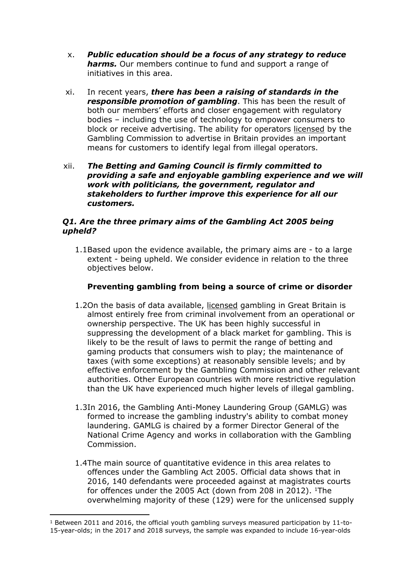- x. *Public education should be a focus of any strategy to reduce harms.* Our members continue to fund and support a range of initiatives in this area.
- xi. In recent years, *there has been a raising of standards in the responsible promotion of gambling*. This has been the result of both our members' efforts and closer engagement with regulatory bodies – including the use of technology to empower consumers to block or receive advertising. The ability for operators licensed by the Gambling Commission to advertise in Britain provides an important means for customers to identify legal from illegal operators.
- xii. *The Betting and Gaming Council is firmly committed to providing a safe and enjoyable gambling experience and we will work with politicians, the government, regulator and stakeholders to further improve this experience for all our customers.*

# *Q1. Are the three primary aims of the Gambling Act 2005 being upheld?*

1.1Based upon the evidence available, the primary aims are - to a large extent - being upheld. We consider evidence in relation to the three objectives below.

# **Preventing gambling from being a source of crime or disorder**

- 1.2On the basis of data available, licensed gambling in Great Britain is almost entirely free from criminal involvement from an operational or ownership perspective. The UK has been highly successful in suppressing the development of a black market for gambling. This is likely to be the result of laws to permit the range of betting and gaming products that consumers wish to play; the maintenance of taxes (with some exceptions) at reasonably sensible levels; and by effective enforcement by the Gambling Commission and other relevant authorities. Other European countries with more restrictive regulation than the UK have experienced much higher levels of illegal gambling.
- 1.3In 2016, the Gambling Anti-Money Laundering Group (GAMLG) was formed to increase the gambling industry's ability to combat money laundering. GAMLG is chaired by a former Director General of the National Crime Agency and works in collaboration with the Gambling Commission.
- 1.4The main source of quantitative evidence in this area relates to offences under the Gambling Act 2005. Official data shows that in 2016, 140 defendants were proceeded against at magistrates courts for offences under the 2005 Act (down from 208 in 2012). <sup>1</sup>The overwhelming majority of these (129) were for the unlicensed supply

 $1$  Between 2011 and 2016, the official youth gambling surveys measured participation by 11-to-15-year-olds; in the 2017 and 2018 surveys, the sample was expanded to include 16-year-olds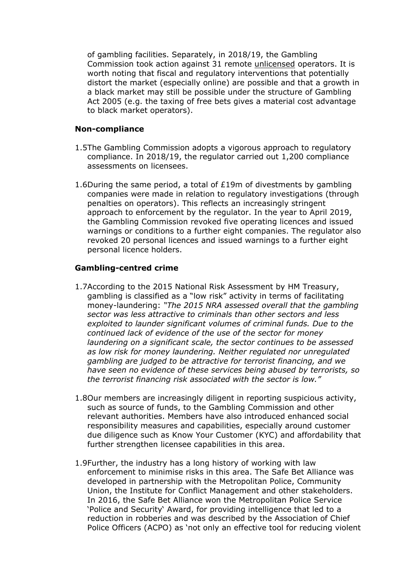of gambling facilities. Separately, in 2018/19, the Gambling Commission took action against 31 remote unlicensed operators. It is worth noting that fiscal and regulatory interventions that potentially distort the market (especially online) are possible and that a growth in a black market may still be possible under the structure of Gambling Act 2005 (e.g. the taxing of free bets gives a material cost advantage to black market operators).

#### **Non-compliance**

- 1.5The Gambling Commission adopts a vigorous approach to regulatory compliance. In 2018/19, the regulator carried out 1,200 compliance assessments on licensees.
- 1.6During the same period, a total of £19m of divestments by gambling companies were made in relation to regulatory investigations (through penalties on operators). This reflects an increasingly stringent approach to enforcement by the regulator. In the year to April 2019, the Gambling Commission revoked five operating licences and issued warnings or conditions to a further eight companies. The regulator also revoked 20 personal licences and issued warnings to a further eight personal licence holders.

### **Gambling-centred crime**

- 1.7According to the 2015 National Risk Assessment by HM Treasury, gambling is classified as a "low risk" activity in terms of facilitating money-laundering: *"The 2015 NRA assessed overall that the gambling sector was less attractive to criminals than other sectors and less exploited to launder significant volumes of criminal funds. Due to the continued lack of evidence of the use of the sector for money laundering on a significant scale, the sector continues to be assessed as low risk for money laundering. Neither regulated nor unregulated gambling are judged to be attractive for terrorist financing, and we have seen no evidence of these services being abused by terrorists, so the terrorist financing risk associated with the sector is low."*
- 1.8Our members are increasingly diligent in reporting suspicious activity, such as source of funds, to the Gambling Commission and other relevant authorities. Members have also introduced enhanced social responsibility measures and capabilities, especially around customer due diligence such as Know Your Customer (KYC) and affordability that further strengthen licensee capabilities in this area.
- 1.9Further, the industry has a long history of working with law enforcement to minimise risks in this area. The Safe Bet Alliance was developed in partnership with the Metropolitan Police, Community Union, the Institute for Conflict Management and other stakeholders. In 2016, the Safe Bet Alliance won the Metropolitan Police Service 'Police and Security' Award, for providing intelligence that led to a reduction in robberies and was described by the Association of Chief Police Officers (ACPO) as 'not only an effective tool for reducing violent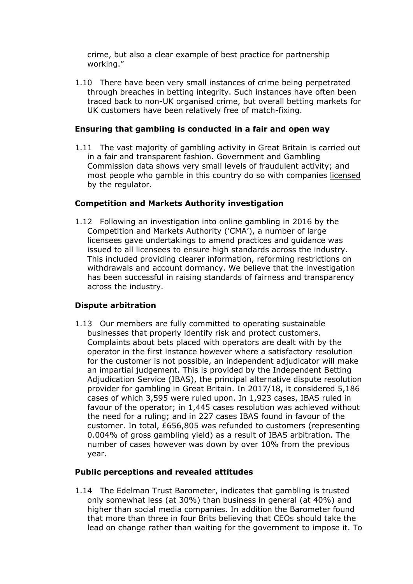crime, but also a clear example of best practice for partnership working."

1.10 There have been very small instances of crime being perpetrated through breaches in betting integrity. Such instances have often been traced back to non-UK organised crime, but overall betting markets for UK customers have been relatively free of match-fixing.

# **Ensuring that gambling is conducted in a fair and open way**

1.11 The vast majority of gambling activity in Great Britain is carried out in a fair and transparent fashion. Government and Gambling Commission data shows very small levels of fraudulent activity; and most people who gamble in this country do so with companies licensed by the regulator.

# **Competition and Markets Authority investigation**

1.12 Following an investigation into online gambling in 2016 by the Competition and Markets Authority ('CMA'), a number of large licensees gave undertakings to amend practices and guidance was issued to all licensees to ensure high standards across the industry. This included providing clearer information, reforming restrictions on withdrawals and account dormancy. We believe that the investigation has been successful in raising standards of fairness and transparency across the industry.

# **Dispute arbitration**

1.13 Our members are fully committed to operating sustainable businesses that properly identify risk and protect customers. Complaints about bets placed with operators are dealt with by the operator in the first instance however where a satisfactory resolution for the customer is not possible, an independent adjudicator will make an impartial judgement. This is provided by the Independent Betting Adjudication Service (IBAS), the principal alternative dispute resolution provider for gambling in Great Britain. In 2017/18, it considered 5,186 cases of which 3,595 were ruled upon. In 1,923 cases, IBAS ruled in favour of the operator; in 1,445 cases resolution was achieved without the need for a ruling; and in 227 cases IBAS found in favour of the customer. In total, £656,805 was refunded to customers (representing 0.004% of gross gambling yield) as a result of IBAS arbitration. The number of cases however was down by over 10% from the previous year.

# **Public perceptions and revealed attitudes**

1.14 The Edelman Trust Barometer, indicates that gambling is trusted only somewhat less (at 30%) than business in general (at 40%) and higher than social media companies. In addition the Barometer found that more than three in four Brits believing that CEOs should take the lead on change rather than waiting for the government to impose it. To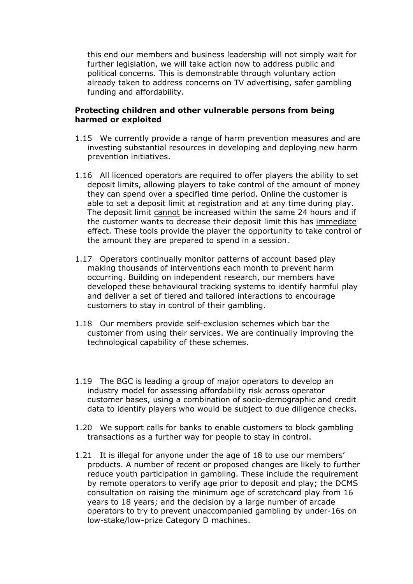this end our members and business leadership will not simply wait for further legislation, we will take action now to address public and political concerns. This is demonstrable through voluntary action already taken to address concerns on TV advertising, safer gambling funding and affordability.

### **Protecting children and other vulnerable persons from being harmed or exploited**

- 1.15 We currently provide a range of harm prevention measures and are investing substantial resources in developing and deploying new harm prevention initiatives.
- 1.16 All licenced operators are required to offer players the ability to set deposit limits, allowing players to take control of the amount of money they can spend over a specified time period. Online the customer is able to set a deposit limit at registration and at any time during play. The deposit limit cannot be increased within the same 24 hours and if the customer wants to decrease their deposit limit this has immediate effect. These tools provide the player the opportunity to take control of the amount they are prepared to spend in a session.
- 1.17 Operators continually monitor patterns of account based play making thousands of interventions each month to prevent harm occurring. Building on independent research, our members have developed these behavioural tracking systems to identify harmful play and deliver a set of tiered and tailored interactions to encourage customers to stay in control of their gambling.
- 1.18 Our members provide self-exclusion schemes which bar the customer from using their services. We are continually improving the technological capability of these schemes.
- 1.19 The BGC is leading a group of major operators to develop an industry model for assessing affordability risk across operator customer bases, using a combination of socio-demographic and credit data to identify players who would be subject to due diligence checks.
- 1.20 We support calls for banks to enable customers to block gambling transactions as a further way for people to stay in control.
- 1.21 It is illegal for anyone under the age of 18 to use our members' products. A number of recent or proposed changes are likely to further reduce youth participation in gambling. These include the requirement by remote operators to verify age prior to deposit and play; the DCMS consultation on raising the minimum age of scratchcard play from 16 years to 18 years; and the decision by a large number of arcade operators to try to prevent unaccompanied gambling by under-16s on low-stake/low-prize Category D machines.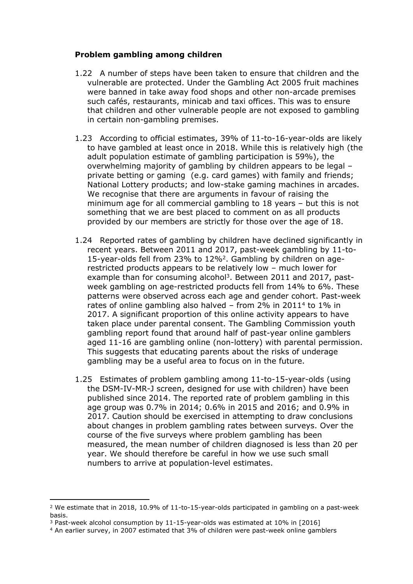## **Problem gambling among children**

- 1.22 A number of steps have been taken to ensure that children and the vulnerable are protected. Under the Gambling Act 2005 fruit machines were banned in take away food shops and other non-arcade premises such cafés, restaurants, minicab and taxi offices. This was to ensure that children and other vulnerable people are not exposed to gambling in certain non-gambling premises.
- 1.23 According to official estimates, 39% of 11-to-16-year-olds are likely to have gambled at least once in 2018. While this is relatively high (the adult population estimate of gambling participation is 59%), the overwhelming majority of gambling by children appears to be legal – private betting or gaming (e.g. card games) with family and friends; National Lottery products; and low-stake gaming machines in arcades. We recognise that there are arguments in favour of raising the minimum age for all commercial gambling to 18 years – but this is not something that we are best placed to comment on as all products provided by our members are strictly for those over the age of 18.
- 1.24 Reported rates of gambling by children have declined significantly in recent years. Between 2011 and 2017, past-week gambling by 11-to-15-year-olds fell from 23% to 12%<sup>2</sup>. Gambling by children on agerestricted products appears to be relatively low – much lower for example than for consuming alcohol<sup>3</sup>. Between 2011 and 2017, pastweek gambling on age-restricted products fell from 14% to 6%. These patterns were observed across each age and gender cohort. Past-week rates of online gambling also halved – from 2% in 2011<sup>4</sup> to 1% in 2017. A significant proportion of this online activity appears to have taken place under parental consent. The Gambling Commission youth gambling report found that around half of past-year online gamblers aged 11-16 are gambling online (non-lottery) with parental permission. This suggests that educating parents about the risks of underage gambling may be a useful area to focus on in the future.
- 1.25 Estimates of problem gambling among 11-to-15-year-olds (using the DSM-IV-MR-J screen, designed for use with children) have been published since 2014. The reported rate of problem gambling in this age group was 0.7% in 2014; 0.6% in 2015 and 2016; and 0.9% in 2017. Caution should be exercised in attempting to draw conclusions about changes in problem gambling rates between surveys. Over the course of the five surveys where problem gambling has been measured, the mean number of children diagnosed is less than 20 per year. We should therefore be careful in how we use such small numbers to arrive at population-level estimates.

<sup>2</sup> We estimate that in 2018, 10.9% of 11-to-15-year-olds participated in gambling on a past-week basis.

<sup>3</sup> Past-week alcohol consumption by 11-15-year-olds was estimated at 10% in [2016]

<sup>4</sup> An earlier survey, in 2007 estimated that 3% of children were past-week online gamblers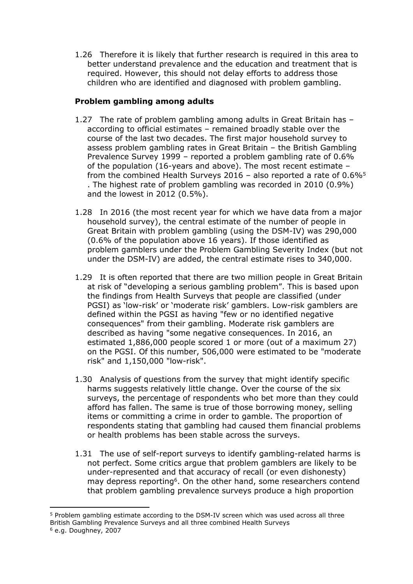1.26 Therefore it is likely that further research is required in this area to better understand prevalence and the education and treatment that is required. However, this should not delay efforts to address those children who are identified and diagnosed with problem gambling.

# **Problem gambling among adults**

- 1.27 The rate of problem gambling among adults in Great Britain has according to official estimates – remained broadly stable over the course of the last two decades. The first major household survey to assess problem gambling rates in Great Britain – the British Gambling Prevalence Survey 1999 – reported a problem gambling rate of 0.6% of the population (16-years and above). The most recent estimate – from the combined Health Surveys 2016 – also reported a rate of  $0.6\%$ <sup>5</sup> . The highest rate of problem gambling was recorded in 2010 (0.9%) and the lowest in 2012 (0.5%).
- 1.28 In 2016 (the most recent year for which we have data from a major household survey), the central estimate of the number of people in Great Britain with problem gambling (using the DSM-IV) was 290,000 (0.6% of the population above 16 years). If those identified as problem gamblers under the Problem Gambling Severity Index (but not under the DSM-IV) are added, the central estimate rises to 340,000.
- 1.29 It is often reported that there are two million people in Great Britain at risk of "developing a serious gambling problem". This is based upon the findings from Health Surveys that people are classified (under PGSI) as 'low-risk' or 'moderate risk' gamblers. Low-risk gamblers are defined within the PGSI as having "few or no identified negative consequences" from their gambling. Moderate risk gamblers are described as having "some negative consequences. In 2016, an estimated 1,886,000 people scored 1 or more (out of a maximum 27) on the PGSI. Of this number, 506,000 were estimated to be "moderate risk" and 1,150,000 "low-risk".
- 1.30 Analysis of questions from the survey that might identify specific harms suggests relatively little change. Over the course of the six surveys, the percentage of respondents who bet more than they could afford has fallen. The same is true of those borrowing money, selling items or committing a crime in order to gamble. The proportion of respondents stating that gambling had caused them financial problems or health problems has been stable across the surveys.
- 1.31 The use of self-report surveys to identify gambling-related harms is not perfect. Some critics argue that problem gamblers are likely to be under-represented and that accuracy of recall (or even dishonesty) may depress reporting<sup>6</sup>. On the other hand, some researchers contend that problem gambling prevalence surveys produce a high proportion

<sup>5</sup> Problem gambling estimate according to the DSM-IV screen which was used across all three British Gambling Prevalence Surveys and all three combined Health Surveys  $6$  e.g. Doughney, 2007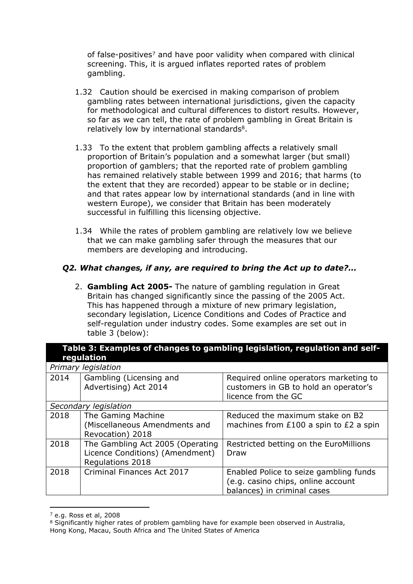of false-positives<sup>7</sup> and have poor validity when compared with clinical screening. This, it is argued inflates reported rates of problem gambling.

- 1.32 Caution should be exercised in making comparison of problem gambling rates between international jurisdictions, given the capacity for methodological and cultural differences to distort results. However, so far as we can tell, the rate of problem gambling in Great Britain is relatively low by international standards<sup>8</sup>.
- 1.33 To the extent that problem gambling affects a relatively small proportion of Britain's population and a somewhat larger (but small) proportion of gamblers; that the reported rate of problem gambling has remained relatively stable between 1999 and 2016; that harms (to the extent that they are recorded) appear to be stable or in decline; and that rates appear low by international standards (and in line with western Europe), we consider that Britain has been moderately successful in fulfilling this licensing objective.
- 1.34 While the rates of problem gambling are relatively low we believe that we can make gambling safer through the measures that our members are developing and introducing.

# *Q2. What changes, if any, are required to bring the Act up to date?...*

2. **Gambling Act 2005-** The nature of gambling regulation in Great Britain has changed significantly since the passing of the 2005 Act. This has happened through a mixture of new primary legislation, secondary legislation, Licence Conditions and Codes of Practice and self-regulation under industry codes. Some examples are set out in table 3 (below):

| Table 3: Examples of changes to gambling legislation, regulation and self-<br>regulation |                                                                                         |                                                                                                             |  |  |  |  |  |
|------------------------------------------------------------------------------------------|-----------------------------------------------------------------------------------------|-------------------------------------------------------------------------------------------------------------|--|--|--|--|--|
| Primary legislation                                                                      |                                                                                         |                                                                                                             |  |  |  |  |  |
| 2014                                                                                     | Gambling (Licensing and<br>Advertising) Act 2014                                        | Required online operators marketing to<br>customers in GB to hold an operator's<br>licence from the GC      |  |  |  |  |  |
| Secondary legislation                                                                    |                                                                                         |                                                                                                             |  |  |  |  |  |
| 2018                                                                                     | The Gaming Machine<br>(Miscellaneous Amendments and<br>Revocation) 2018                 | Reduced the maximum stake on B2<br>machines from £100 a spin to £2 a spin                                   |  |  |  |  |  |
| 2018                                                                                     | The Gambling Act 2005 (Operating<br>Licence Conditions) (Amendment)<br>Regulations 2018 | Restricted betting on the EuroMillions<br>Draw                                                              |  |  |  |  |  |
| 2018                                                                                     | Criminal Finances Act 2017                                                              | Enabled Police to seize gambling funds<br>(e.g. casino chips, online account<br>balances) in criminal cases |  |  |  |  |  |

 $<sup>7</sup>$  e.g. Ross et al, 2008</sup>

<sup>&</sup>lt;sup>8</sup> Significantly higher rates of problem gambling have for example been observed in Australia, Hong Kong, Macau, South Africa and The United States of America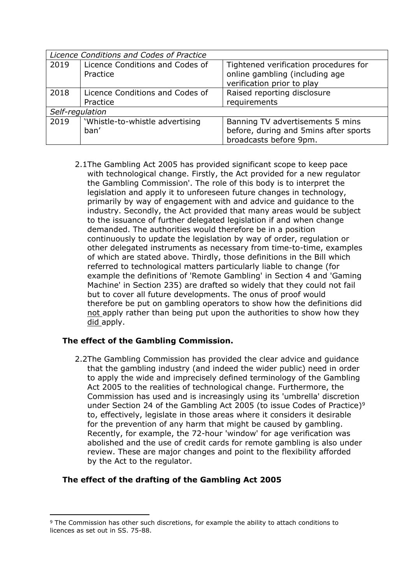| Licence Conditions and Codes of Practice |                                             |                                                                                                       |  |  |  |
|------------------------------------------|---------------------------------------------|-------------------------------------------------------------------------------------------------------|--|--|--|
| 2019                                     | Licence Conditions and Codes of<br>Practice | Tightened verification procedures for<br>online gambling (including age<br>verification prior to play |  |  |  |
| 2018                                     | Licence Conditions and Codes of<br>Practice | Raised reporting disclosure<br>requirements                                                           |  |  |  |
| Self-regulation                          |                                             |                                                                                                       |  |  |  |
| 2019                                     | 'Whistle-to-whistle advertising<br>ban'     | Banning TV advertisements 5 mins<br>before, during and 5mins after sports<br>broadcasts before 9pm.   |  |  |  |

2.1The Gambling Act 2005 has provided significant scope to keep pace with technological change. Firstly, the Act provided for a new regulator the Gambling Commission'. The role of this body is to interpret the legislation and apply it to unforeseen future changes in technology, primarily by way of engagement with and advice and guidance to the industry. Secondly, the Act provided that many areas would be subject to the issuance of further delegated legislation if and when change demanded. The authorities would therefore be in a position continuously to update the legislation by way of order, regulation or other delegated instruments as necessary from time-to-time, examples of which are stated above. Thirdly, those definitions in the Bill which referred to technological matters particularly liable to change (for example the definitions of 'Remote Gambling' in Section 4 and 'Gaming Machine' in Section 235) are drafted so widely that they could not fail but to cover all future developments. The onus of proof would therefore be put on gambling operators to show how the definitions did not apply rather than being put upon the authorities to show how they did apply.

# **The effect of the Gambling Commission.**

2.2The Gambling Commission has provided the clear advice and guidance that the gambling industry (and indeed the wider public) need in order to apply the wide and imprecisely defined terminology of the Gambling Act 2005 to the realities of technological change. Furthermore, the Commission has used and is increasingly using its 'umbrella' discretion under Section 24 of the Gambling Act 2005 (to issue Codes of Practice)<sup>9</sup> to, effectively, legislate in those areas where it considers it desirable for the prevention of any harm that might be caused by gambling. Recently, for example, the 72-hour 'window' for age verification was abolished and the use of credit cards for remote gambling is also under review. These are major changes and point to the flexibility afforded by the Act to the regulator.

# **The effect of the drafting of the Gambling Act 2005**

<sup>9</sup> The Commission has other such discretions, for example the ability to attach conditions to licences as set out in SS. 75-88.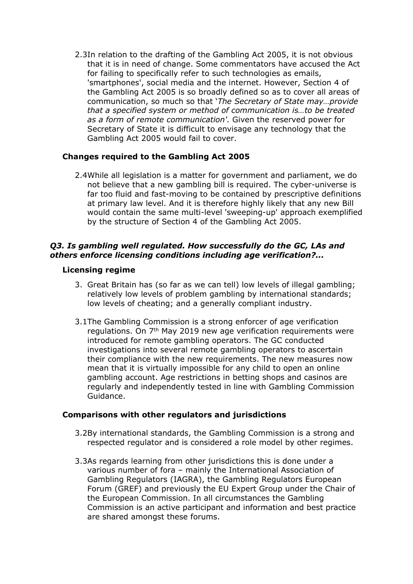2.3In relation to the drafting of the Gambling Act 2005, it is not obvious that it is in need of change. Some commentators have accused the Act for failing to specifically refer to such technologies as emails, 'smartphones', social media and the internet. However, Section 4 of the Gambling Act 2005 is so broadly defined so as to cover all areas of communication, so much so that '*The Secretary of State may…provide that a specified system or method of communication is…to be treated as a form of remote communication'.* Given the reserved power for Secretary of State it is difficult to envisage any technology that the Gambling Act 2005 would fail to cover.

# **Changes required to the Gambling Act 2005**

2.4While all legislation is a matter for government and parliament, we do not believe that a new gambling bill is required. The cyber-universe is far too fluid and fast-moving to be contained by prescriptive definitions at primary law level. And it is therefore highly likely that any new Bill would contain the same multi-level 'sweeping-up' approach exemplified by the structure of Section 4 of the Gambling Act 2005.

## *Q3. Is gambling well regulated. How successfully do the GC, LAs and others enforce licensing conditions including age verification?...*

#### **Licensing regime**

- 3. Great Britain has (so far as we can tell) low levels of illegal gambling; relatively low levels of problem gambling by international standards; low levels of cheating; and a generally compliant industry.
- 3.1The Gambling Commission is a strong enforcer of age verification regulations. On 7th May 2019 new age verification requirements were introduced for remote gambling operators. The GC conducted investigations into several remote gambling operators to ascertain their compliance with the new requirements. The new measures now mean that it is virtually impossible for any child to open an online gambling account. Age restrictions in betting shops and casinos are regularly and independently tested in line with Gambling Commission Guidance.

#### **Comparisons with other regulators and jurisdictions**

- 3.2By international standards, the Gambling Commission is a strong and respected regulator and is considered a role model by other regimes.
- 3.3As regards learning from other jurisdictions this is done under a various number of fora – mainly the International Association of Gambling Regulators (IAGRA), the Gambling Regulators European Forum (GREF) and previously the EU Expert Group under the Chair of the European Commission. In all circumstances the Gambling Commission is an active participant and information and best practice are shared amongst these forums.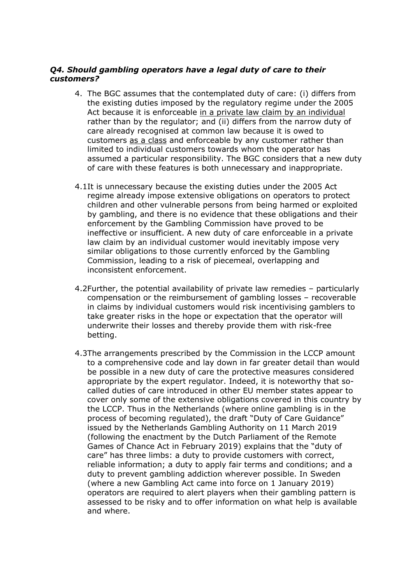# *Q4. Should gambling operators have a legal duty of care to their customers?*

- 4. The BGC assumes that the contemplated duty of care: (i) differs from the existing duties imposed by the regulatory regime under the 2005 Act because it is enforceable in a private law claim by an individual rather than by the regulator; and (ii) differs from the narrow duty of care already recognised at common law because it is owed to customers as a class and enforceable by any customer rather than limited to individual customers towards whom the operator has assumed a particular responsibility. The BGC considers that a new duty of care with these features is both unnecessary and inappropriate.
- 4.1It is unnecessary because the existing duties under the 2005 Act regime already impose extensive obligations on operators to protect children and other vulnerable persons from being harmed or exploited by gambling, and there is no evidence that these obligations and their enforcement by the Gambling Commission have proved to be ineffective or insufficient. A new duty of care enforceable in a private law claim by an individual customer would inevitably impose very similar obligations to those currently enforced by the Gambling Commission, leading to a risk of piecemeal, overlapping and inconsistent enforcement.
- 4.2Further, the potential availability of private law remedies particularly compensation or the reimbursement of gambling losses – recoverable in claims by individual customers would risk incentivising gamblers to take greater risks in the hope or expectation that the operator will underwrite their losses and thereby provide them with risk-free betting.
- 4.3The arrangements prescribed by the Commission in the LCCP amount to a comprehensive code and lay down in far greater detail than would be possible in a new duty of care the protective measures considered appropriate by the expert regulator. Indeed, it is noteworthy that socalled duties of care introduced in other EU member states appear to cover only some of the extensive obligations covered in this country by the LCCP. Thus in the Netherlands (where online gambling is in the process of becoming regulated), the draft "Duty of Care Guidance" issued by the Netherlands Gambling Authority on 11 March 2019 (following the enactment by the Dutch Parliament of the Remote Games of Chance Act in February 2019) explains that the "duty of care" has three limbs: a duty to provide customers with correct, reliable information; a duty to apply fair terms and conditions; and a duty to prevent gambling addiction wherever possible. In Sweden (where a new Gambling Act came into force on 1 January 2019) operators are required to alert players when their gambling pattern is assessed to be risky and to offer information on what help is available and where.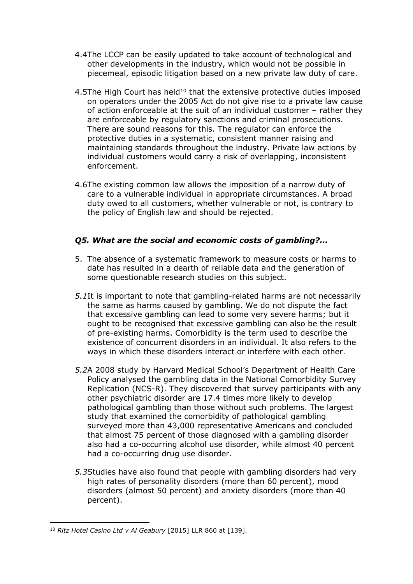- 4.4The LCCP can be easily updated to take account of technological and other developments in the industry, which would not be possible in piecemeal, episodic litigation based on a new private law duty of care.
- 4.5The High Court has held<sup>10</sup> that the extensive protective duties imposed on operators under the 2005 Act do not give rise to a private law cause of action enforceable at the suit of an individual customer – rather they are enforceable by regulatory sanctions and criminal prosecutions. There are sound reasons for this. The regulator can enforce the protective duties in a systematic, consistent manner raising and maintaining standards throughout the industry. Private law actions by individual customers would carry a risk of overlapping, inconsistent enforcement.
- 4.6The existing common law allows the imposition of a narrow duty of care to a vulnerable individual in appropriate circumstances. A broad duty owed to all customers, whether vulnerable or not, is contrary to the policy of English law and should be rejected.

# *Q5. What are the social and economic costs of gambling?...*

- 5. The absence of a systematic framework to measure costs or harms to date has resulted in a dearth of reliable data and the generation of some questionable research studies on this subject.
- *5.1*It is important to note that gambling-related harms are not necessarily the same as harms caused by gambling. We do not dispute the fact that excessive gambling can lead to some very severe harms; but it ought to be recognised that excessive gambling can also be the result of pre-existing harms. Comorbidity is the term used to describe the existence of concurrent disorders in an individual. It also refers to the ways in which these disorders interact or interfere with each other.
- *5.2*A 2008 study by Harvard Medical School's Department of Health Care Policy analysed the gambling data in the National Comorbidity Survey Replication (NCS-R). They discovered that survey participants with any other psychiatric disorder are 17.4 times more likely to develop pathological gambling than those without such problems. The largest study that examined the comorbidity of pathological gambling surveyed more than 43,000 representative Americans and concluded that almost 75 percent of those diagnosed with a gambling disorder also had a co-occurring alcohol use disorder, while almost 40 percent had a co-occurring drug use disorder.
- *5.3*Studies have also found that people with gambling disorders had very high rates of personality disorders (more than 60 percent), mood disorders (almost 50 percent) and anxiety disorders (more than 40 percent).

<sup>10</sup> *Ritz Hotel Casino Ltd v Al Geabury* [2015] LLR 860 at [139].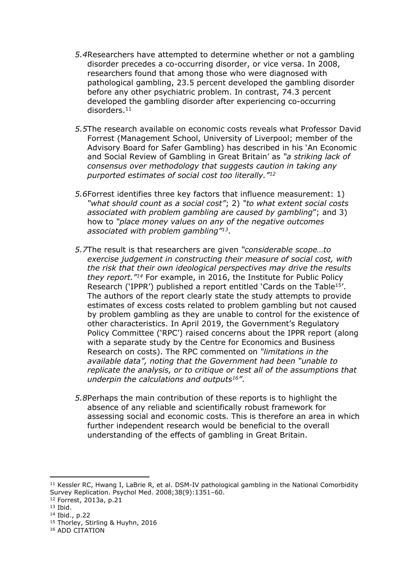- *5.4*Researchers have attempted to determine whether or not a gambling disorder precedes a co-occurring disorder, or vice versa. In 2008, researchers found that among those who were diagnosed with pathological gambling, 23.5 percent developed the gambling disorder before any other psychiatric problem. In contrast, 74.3 percent developed the gambling disorder after experiencing co-occurring disorders.<sup>11</sup>
- *5.5*The research available on economic costs reveals what Professor David Forrest (Management School, University of Liverpool; member of the Advisory Board for Safer Gambling) has described in his 'An Economic and Social Review of Gambling in Great Britain' as *"a striking lack of consensus over methodology that suggests caution in taking any purported estimates of social cost too literally."<sup>12</sup>*
- *5.6*Forrest identifies three key factors that influence measurement: 1) *"what should count as a social cost"*; 2) *"to what extent social costs associated with problem gambling are caused by gambling*"; and 3) how to *"place money values on any of the negative outcomes associated with problem gambling"<sup>13</sup>*.
- *5.7*The result is that researchers are given *"considerable scope…to exercise judgement in constructing their measure of social cost, with the risk that their own ideological perspectives may drive the results they report."<sup>14</sup>* For example, in 2016, the Institute for Public Policy Research ('IPPR') published a report entitled 'Cards on the Table<sup>15</sup>'. The authors of the report clearly state the study attempts to provide estimates of excess costs related to problem gambling but not caused by problem gambling as they are unable to control for the existence of other characteristics. In April 2019, the Government's Regulatory Policy Committee ('RPC') raised concerns about the IPPR report (along with a separate study by the Centre for Economics and Business Research on costs). The RPC commented on *"limitations in the available data", noting that the Government had been "unable to replicate the analysis, or to critique or test all of the assumptions that underpin the calculations and outputs<sup>16</sup>"*.
- *5.8*Perhaps the main contribution of these reports is to highlight the absence of any reliable and scientifically robust framework for assessing social and economic costs. This is therefore an area in which further independent research would be beneficial to the overall understanding of the effects of gambling in Great Britain.

- <sup>12</sup> Forrest, 2013a, p.21
- <sup>13</sup> Ibid.

<sup>11</sup> Kessler RC, Hwang I, LaBrie R, et al. DSM-IV pathological gambling in the National Comorbidity Survey Replication. Psychol Med. 2008;38(9):1351–60.

<sup>14</sup> Ibid., p.22

<sup>15</sup> Thorley, Stirling & Huyhn, 2016

<sup>16</sup> ADD CITATION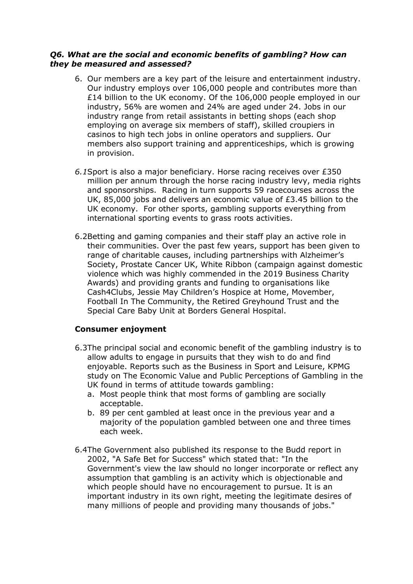## *Q6. What are the social and economic benefits of gambling? How can they be measured and assessed?*

- 6. Our members are a key part of the leisure and entertainment industry. Our industry employs over 106,000 people and contributes more than £14 billion to the UK economy. Of the 106,000 people employed in our industry, 56% are women and 24% are aged under 24. Jobs in our industry range from retail assistants in betting shops (each shop employing on average six members of staff), skilled croupiers in casinos to high tech jobs in online operators and suppliers. Our members also support training and apprenticeships, which is growing in provision.
- *6.1*Sport is also a major beneficiary. Horse racing receives over £350 million per annum through the horse racing industry levy, media rights and sponsorships. Racing in turn supports 59 racecourses across the UK, 85,000 jobs and delivers an economic value of £3.45 billion to the UK economy. For other sports, gambling supports everything from international sporting events to grass roots activities.
- 6.2Betting and gaming companies and their staff play an active role in their communities. Over the past few years, support has been given to range of charitable causes, including partnerships with Alzheimer's Society, Prostate Cancer UK, White Ribbon (campaign against domestic violence which was highly commended in the 2019 Business Charity Awards) and providing grants and funding to organisations like Cash4Clubs, Jessie May Children's Hospice at Home, Movember, Football In The Community, the Retired Greyhound Trust and the Special Care Baby Unit at Borders General Hospital.

# **Consumer enjoyment**

- 6.3The principal social and economic benefit of the gambling industry is to allow adults to engage in pursuits that they wish to do and find enjoyable. Reports such as the Business in Sport and Leisure, KPMG study on The Economic Value and Public Perceptions of Gambling in the UK found in terms of attitude towards gambling:
	- a. Most people think that most forms of gambling are socially acceptable.
	- b. 89 per cent gambled at least once in the previous year and a majority of the population gambled between one and three times each week.
- 6.4The Government also published its response to the Budd report in 2002, "A Safe Bet for Success" which stated that: "In the Government's view the law should no longer incorporate or reflect any assumption that gambling is an activity which is objectionable and which people should have no encouragement to pursue. It is an important industry in its own right, meeting the legitimate desires of many millions of people and providing many thousands of jobs."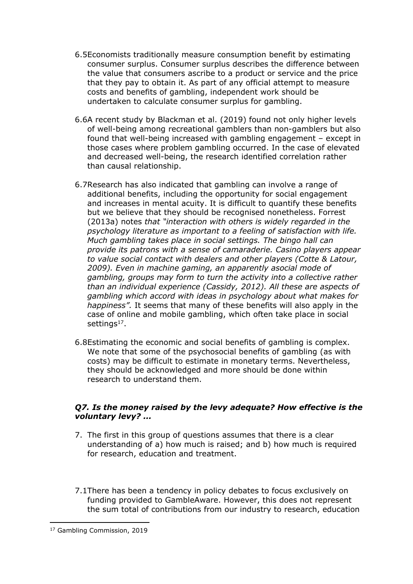- 6.5Economists traditionally measure consumption benefit by estimating consumer surplus. Consumer surplus describes the difference between the value that consumers ascribe to a product or service and the price that they pay to obtain it. As part of any official attempt to measure costs and benefits of gambling, independent work should be undertaken to calculate consumer surplus for gambling.
- 6.6A recent study by Blackman et al. (2019) found not only higher levels of well-being among recreational gamblers than non-gamblers but also found that well-being increased with gambling engagement – except in those cases where problem gambling occurred. In the case of elevated and decreased well-being, the research identified correlation rather than causal relationship.
- 6.7Research has also indicated that gambling can involve a range of additional benefits, including the opportunity for social engagement and increases in mental acuity. It is difficult to quantify these benefits but we believe that they should be recognised nonetheless. Forrest (2013a) notes *that "interaction with others is widely regarded in the psychology literature as important to a feeling of satisfaction with life. Much gambling takes place in social settings. The bingo hall can provide its patrons with a sense of camaraderie. Casino players appear to value social contact with dealers and other players (Cotte & Latour, 2009). Even in machine gaming, an apparently asocial mode of gambling, groups may form to turn the activity into a collective rather than an individual experience (Cassidy, 2012). All these are aspects of gambling which accord with ideas in psychology about what makes for happiness".* It seems that many of these benefits will also apply in the case of online and mobile gambling, which often take place in social settings<sup>17</sup>.
- 6.8Estimating the economic and social benefits of gambling is complex. We note that some of the psychosocial benefits of gambling (as with costs) may be difficult to estimate in monetary terms. Nevertheless, they should be acknowledged and more should be done within research to understand them.

# *Q7. Is the money raised by the levy adequate? How effective is the voluntary levy? ...*

- 7. The first in this group of questions assumes that there is a clear understanding of a) how much is raised; and b) how much is required for research, education and treatment.
- 7.1There has been a tendency in policy debates to focus exclusively on funding provided to GambleAware. However, this does not represent the sum total of contributions from our industry to research, education

<sup>17</sup> Gambling Commission, 2019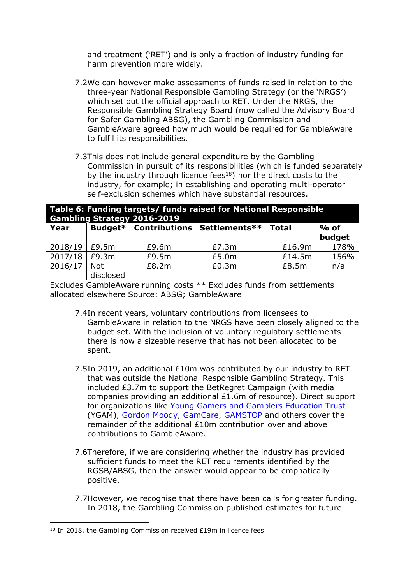and treatment ('RET') and is only a fraction of industry funding for harm prevention more widely.

- 7.2We can however make assessments of funds raised in relation to the three-year National Responsible Gambling Strategy (or the 'NRGS') which set out the official approach to RET. Under the NRGS, the Responsible Gambling Strategy Board (now called the Advisory Board for Safer Gambling ABSG), the Gambling Commission and GambleAware agreed how much would be required for GambleAware to fulfil its responsibilities.
- 7.3This does not include general expenditure by the Gambling Commission in pursuit of its responsibilities (which is funded separately by the industry through licence fees<sup>18</sup>) nor the direct costs to the industry, for example; in establishing and operating multi-operator self-exclusion schemes which have substantial resources.

| Table 6: Funding targets/ funds raised for National Responsible<br><b>Gambling Strategy 2016-2019</b> |            |                                |               |              |        |  |  |  |
|-------------------------------------------------------------------------------------------------------|------------|--------------------------------|---------------|--------------|--------|--|--|--|
| Year                                                                                                  |            | <b>Budget*</b>   Contributions | Settlements** | <b>Total</b> | $%$ of |  |  |  |
|                                                                                                       |            |                                |               |              | budget |  |  |  |
| 2018/19                                                                                               | £9.5m      | £9.6m                          | £7.3m         | £16.9m       | 178%   |  |  |  |
| 2017/18                                                                                               | £9.3m      | £9.5m                          | £5.0m         | £14.5m       | 156%   |  |  |  |
| 2016/17                                                                                               | <b>Not</b> | £8.2m                          | £0.3m         | £8.5m        | n/a    |  |  |  |
|                                                                                                       | disclosed  |                                |               |              |        |  |  |  |
| Evelydec Cample Lugge running costs $**$ Evelydec funds from sottlements                              |            |                                |               |              |        |  |  |  |

Excludes GambleAware running costs \*\* Excludes funds from settlements allocated elsewhere Source: ABSG; GambleAware

- 7.4In recent years, voluntary contributions from licensees to GambleAware in relation to the NRGS have been closely aligned to the budget set. With the inclusion of voluntary regulatory settlements there is now a sizeable reserve that has not been allocated to be spent.
- 7.5In 2019, an additional £10m was contributed by our industry to RET that was outside the National Responsible Gambling Strategy. This included £3.7m to support the BetRegret Campaign (with media companies providing an additional £1.6m of resource). Direct support for organizations like [Young](https://www.ygam.org/) [Gamers](https://www.ygam.org/) [and](https://www.ygam.org/) [Gamblers](https://www.ygam.org/) [Education](https://www.ygam.org/) [Trust](https://www.ygam.org/) (YGAM), [Gordon](https://www.gordonmoody.org.uk/) [Moody](https://www.gordonmoody.org.uk/), [GamCare](https://www.gamcare.org.uk/), [GAMSTOP](https://www.gamstop.co.uk/) and others cover the remainder of the additional £10m contribution over and above contributions to GambleAware.
- 7.6Therefore, if we are considering whether the industry has provided sufficient funds to meet the RET requirements identified by the RGSB/ABSG, then the answer would appear to be emphatically positive.
- 7.7However, we recognise that there have been calls for greater funding. In 2018, the Gambling Commission published estimates for future

 $18$  In 2018, the Gambling Commission received £19m in licence fees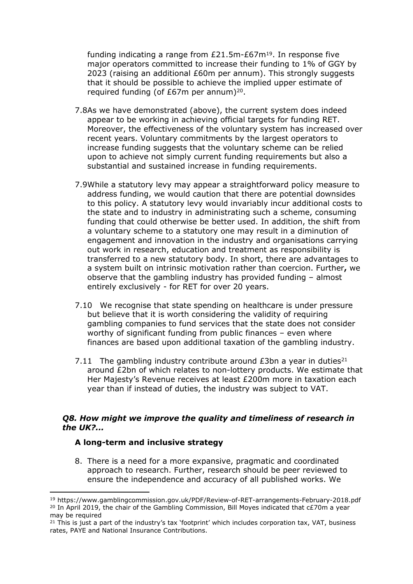funding indicating a range from  $£21.5m-E67m^{19}$ . In response five major operators committed to increase their funding to 1% of GGY by 2023 (raising an additional £60m per annum). This strongly suggests that it should be possible to achieve the implied upper estimate of required funding (of £67m per annum)<sup>20</sup>.

- 7.8As we have demonstrated (above), the current system does indeed appear to be working in achieving official targets for funding RET. Moreover, the effectiveness of the voluntary system has increased over recent years. Voluntary commitments by the largest operators to increase funding suggests that the voluntary scheme can be relied upon to achieve not simply current funding requirements but also a substantial and sustained increase in funding requirements.
- 7.9While a statutory levy may appear a straightforward policy measure to address funding, we would caution that there are potential downsides to this policy. A statutory levy would invariably incur additional costs to the state and to industry in administrating such a scheme, consuming funding that could otherwise be better used. In addition, the shift from a voluntary scheme to a statutory one may result in a diminution of engagement and innovation in the industry and organisations carrying out work in research, education and treatment as responsibility is transferred to a new statutory body. In short, there are advantages to a system built on intrinsic motivation rather than coercion. Further**,** we observe that the gambling industry has provided funding – almost entirely exclusively - for RET for over 20 years.
- 7.10 We recognise that state spending on healthcare is under pressure but believe that it is worth considering the validity of requiring gambling companies to fund services that the state does not consider worthy of significant funding from public finances – even where finances are based upon additional taxation of the gambling industry.
- 7.11 The gambling industry contribute around  $£3$ bn a year in duties<sup>21</sup> around £2bn of which relates to non-lottery products. We estimate that Her Majesty's Revenue receives at least £200m more in taxation each year than if instead of duties, the industry was subject to VAT.

### *Q8. How might we improve the quality and timeliness of research in the UK?...*

#### **A long-term and inclusive strategy**

8. There is a need for a more expansive, pragmatic and coordinated approach to research. Further, research should be peer reviewed to ensure the independence and accuracy of all published works. We

<sup>19</sup> https://www.gamblingcommission.gov.uk/PDF/Review-of-RET-arrangements-February-2018.pdf <sup>20</sup> In April 2019, the chair of the Gambling Commission, Bill Moyes indicated that c£70m a year may be required

 $21$  This is just a part of the industry's tax 'footprint' which includes corporation tax, VAT, business rates, PAYE and National Insurance Contributions.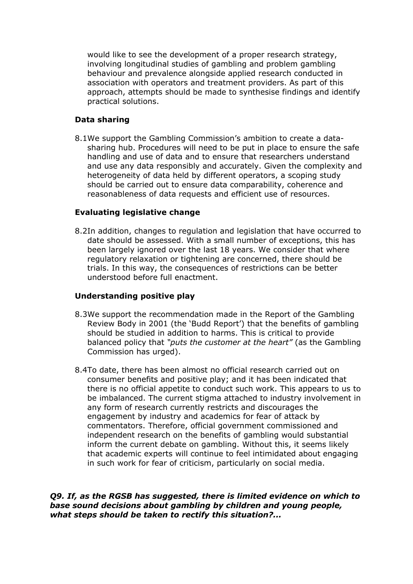would like to see the development of a proper research strategy, involving longitudinal studies of gambling and problem gambling behaviour and prevalence alongside applied research conducted in association with operators and treatment providers. As part of this approach, attempts should be made to synthesise findings and identify practical solutions.

# **Data sharing**

8.1We support the Gambling Commission's ambition to create a datasharing hub. Procedures will need to be put in place to ensure the safe handling and use of data and to ensure that researchers understand and use any data responsibly and accurately. Given the complexity and heterogeneity of data held by different operators, a scoping study should be carried out to ensure data comparability, coherence and reasonableness of data requests and efficient use of resources.

# **Evaluating legislative change**

8.2In addition, changes to regulation and legislation that have occurred to date should be assessed. With a small number of exceptions, this has been largely ignored over the last 18 years. We consider that where regulatory relaxation or tightening are concerned, there should be trials. In this way, the consequences of restrictions can be better understood before full enactment.

# **Understanding positive play**

- 8.3We support the recommendation made in the Report of the Gambling Review Body in 2001 (the 'Budd Report') that the benefits of gambling should be studied in addition to harms. This is critical to provide balanced policy that *"puts the customer at the heart"* (as the Gambling Commission has urged).
- 8.4To date, there has been almost no official research carried out on consumer benefits and positive play; and it has been indicated that there is no official appetite to conduct such work. This appears to us to be imbalanced. The current stigma attached to industry involvement in any form of research currently restricts and discourages the engagement by industry and academics for fear of attack by commentators. Therefore, official government commissioned and independent research on the benefits of gambling would substantial inform the current debate on gambling. Without this, it seems likely that academic experts will continue to feel intimidated about engaging in such work for fear of criticism, particularly on social media.

*Q9. If, as the RGSB has suggested, there is limited evidence on which to base sound decisions about gambling by children and young people, what steps should be taken to rectify this situation?...*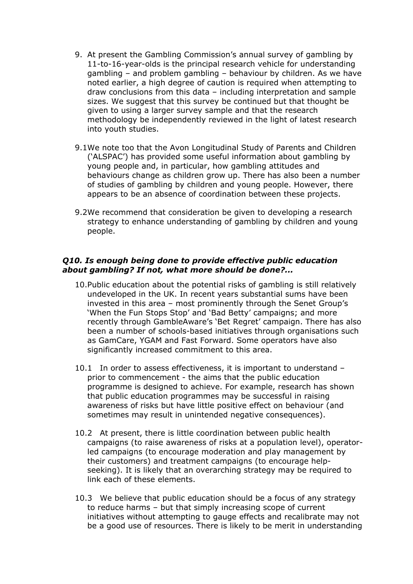- 9. At present the Gambling Commission's annual survey of gambling by 11-to-16-year-olds is the principal research vehicle for understanding gambling – and problem gambling – behaviour by children. As we have noted earlier, a high degree of caution is required when attempting to draw conclusions from this data – including interpretation and sample sizes. We suggest that this survey be continued but that thought be given to using a larger survey sample and that the research methodology be independently reviewed in the light of latest research into youth studies.
- 9.1We note too that the Avon Longitudinal Study of Parents and Children ('ALSPAC') has provided some useful information about gambling by young people and, in particular, how gambling attitudes and behaviours change as children grow up. There has also been a number of studies of gambling by children and young people. However, there appears to be an absence of coordination between these projects.
- 9.2We recommend that consideration be given to developing a research strategy to enhance understanding of gambling by children and young people.

#### *Q10. Is enough being done to provide effective public education about gambling? If not, what more should be done?...*

- 10.Public education about the potential risks of gambling is still relatively undeveloped in the UK. In recent years substantial sums have been invested in this area – most prominently through the Senet Group's 'When the Fun Stops Stop' and 'Bad Betty' campaigns; and more recently through GambleAware's 'Bet Regret' campaign. There has also been a number of schools-based initiatives through organisations such as GamCare, YGAM and Fast Forward. Some operators have also significantly increased commitment to this area.
- 10.1 In order to assess effectiveness, it is important to understand prior to commencement - the aims that the public education programme is designed to achieve. For example, research has shown that public education programmes may be successful in raising awareness of risks but have little positive effect on behaviour (and sometimes may result in unintended negative consequences).
- 10.2 At present, there is little coordination between public health campaigns (to raise awareness of risks at a population level), operatorled campaigns (to encourage moderation and play management by their customers) and treatment campaigns (to encourage helpseeking). It is likely that an overarching strategy may be required to link each of these elements.
- 10.3 We believe that public education should be a focus of any strategy to reduce harms – but that simply increasing scope of current initiatives without attempting to gauge effects and recalibrate may not be a good use of resources. There is likely to be merit in understanding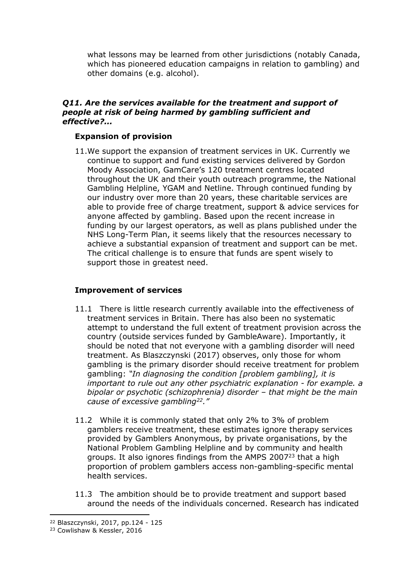what lessons may be learned from other jurisdictions (notably Canada, which has pioneered education campaigns in relation to gambling) and other domains (e.g. alcohol).

## *Q11. Are the services available for the treatment and support of people at risk of being harmed by gambling sufficient and effective?...*

## **Expansion of provision**

11.We support the expansion of treatment services in UK. Currently we continue to support and fund existing services delivered by Gordon Moody Association, GamCare's 120 treatment centres located throughout the UK and their youth outreach programme, the National Gambling Helpline, YGAM and Netline. Through continued funding by our industry over more than 20 years, these charitable services are able to provide free of charge treatment, support & advice services for anyone affected by gambling. Based upon the recent increase in funding by our largest operators, as well as plans published under the NHS Long-Term Plan, it seems likely that the resources necessary to achieve a substantial expansion of treatment and support can be met. The critical challenge is to ensure that funds are spent wisely to support those in greatest need.

## **Improvement of services**

- 11.1 There is little research currently available into the effectiveness of treatment services in Britain. There has also been no systematic attempt to understand the full extent of treatment provision across the country (outside services funded by GambleAware). Importantly, it should be noted that not everyone with a gambling disorder will need treatment. As Blaszczynski (2017) observes, only those for whom gambling is the primary disorder should receive treatment for problem gambling: *"In diagnosing the condition [problem gambling], it is important to rule out any other psychiatric explanation - for example. a bipolar or psychotic (schizophrenia) disorder – that might be the main cause of excessive gambling<sup>22</sup>."*
- 11.2 While it is commonly stated that only 2% to 3% of problem gamblers receive treatment, these estimates ignore therapy services provided by Gamblers Anonymous, by private organisations, by the National Problem Gambling Helpline and by community and health groups. It also ignores findings from the AMPS 2007<sup>23</sup> that a high proportion of problem gamblers access non-gambling-specific mental health services.
- 11.3 The ambition should be to provide treatment and support based around the needs of the individuals concerned. Research has indicated

<sup>22</sup> Blaszczynski, 2017, pp.124 - 125

<sup>23</sup> Cowlishaw & Kessler, 2016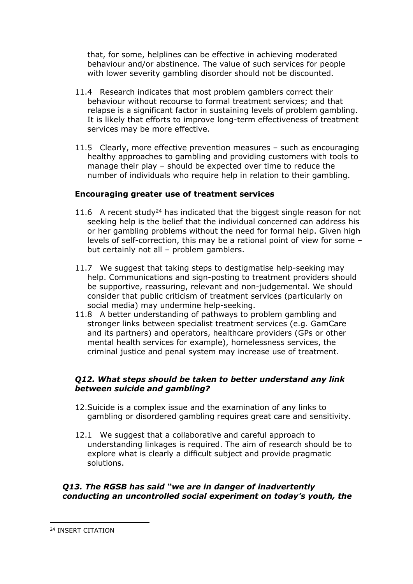that, for some, helplines can be effective in achieving moderated behaviour and/or abstinence. The value of such services for people with lower severity gambling disorder should not be discounted.

- 11.4 Research indicates that most problem gamblers correct their behaviour without recourse to formal treatment services; and that relapse is a significant factor in sustaining levels of problem gambling. It is likely that efforts to improve long-term effectiveness of treatment services may be more effective.
- 11.5 Clearly, more effective prevention measures such as encouraging healthy approaches to gambling and providing customers with tools to manage their play – should be expected over time to reduce the number of individuals who require help in relation to their gambling.

# **Encouraging greater use of treatment services**

- 11.6 A recent study<sup>24</sup> has indicated that the biggest single reason for not seeking help is the belief that the individual concerned can address his or her gambling problems without the need for formal help. Given high levels of self-correction, this may be a rational point of view for some – but certainly not all – problem gamblers.
- 11.7 We suggest that taking steps to destigmatise help-seeking may help. Communications and sign-posting to treatment providers should be supportive, reassuring, relevant and non-judgemental. We should consider that public criticism of treatment services (particularly on social media) may undermine help-seeking.
- 11.8 A better understanding of pathways to problem gambling and stronger links between specialist treatment services (e.g. GamCare and its partners) and operators, healthcare providers (GPs or other mental health services for example), homelessness services, the criminal justice and penal system may increase use of treatment.

# *Q12. What steps should be taken to better understand any link between suicide and gambling?*

- 12.Suicide is a complex issue and the examination of any links to gambling or disordered gambling requires great care and sensitivity.
- 12.1 We suggest that a collaborative and careful approach to understanding linkages is required. The aim of research should be to explore what is clearly a difficult subject and provide pragmatic solutions.

# *Q13. The RGSB has said "we are in danger of inadvertently conducting an uncontrolled social experiment on today's youth, the*

<sup>24</sup> INSERT CITATION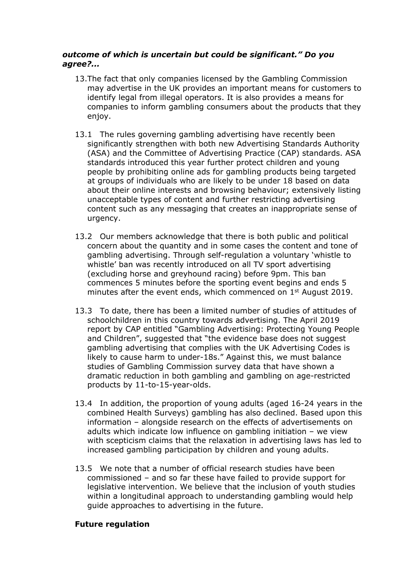# *outcome of which is uncertain but could be significant." Do you agree?...*

- 13.The fact that only companies licensed by the Gambling Commission may advertise in the UK provides an important means for customers to identify legal from illegal operators. It is also provides a means for companies to inform gambling consumers about the products that they enjoy.
- 13.1 The rules governing gambling advertising have recently been significantly strengthen with both new Advertising Standards Authority (ASA) and the Committee of Advertising Practice (CAP) standards. ASA standards introduced this year further protect children and young people by prohibiting online ads for gambling products being targeted at groups of individuals who are likely to be under 18 based on data about their online interests and browsing behaviour; extensively listing unacceptable types of content and further restricting advertising content such as any messaging that creates an inappropriate sense of urgency.
- 13.2 Our members acknowledge that there is both public and political concern about the quantity and in some cases the content and tone of gambling advertising. Through self-regulation a voluntary 'whistle to whistle' ban was recently introduced on all TV sport advertising (excluding horse and greyhound racing) before 9pm. This ban commences 5 minutes before the sporting event begins and ends 5 minutes after the event ends, which commenced on 1<sup>st</sup> August 2019.
- 13.3 To date, there has been a limited number of studies of attitudes of schoolchildren in this country towards advertising. The April 2019 report by CAP entitled "Gambling Advertising: Protecting Young People and Children", suggested that "the evidence base does not suggest gambling advertising that complies with the UK Advertising Codes is likely to cause harm to under-18s." Against this, we must balance studies of Gambling Commission survey data that have shown a dramatic reduction in both gambling and gambling on age-restricted products by 11-to-15-year-olds.
- 13.4 In addition, the proportion of young adults (aged 16-24 years in the combined Health Surveys) gambling has also declined. Based upon this information – alongside research on the effects of advertisements on adults which indicate low influence on gambling initiation – we view with scepticism claims that the relaxation in advertising laws has led to increased gambling participation by children and young adults.
- 13.5 We note that a number of official research studies have been commissioned – and so far these have failed to provide support for legislative intervention. We believe that the inclusion of youth studies within a longitudinal approach to understanding gambling would help guide approaches to advertising in the future.

# **Future regulation**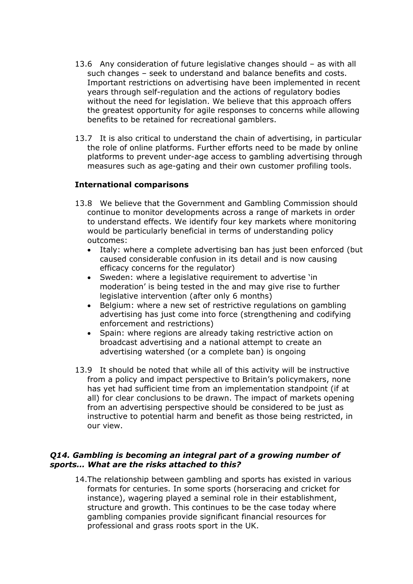- 13.6 Any consideration of future legislative changes should as with all such changes – seek to understand and balance benefits and costs. Important restrictions on advertising have been implemented in recent years through self-regulation and the actions of regulatory bodies without the need for legislation. We believe that this approach offers the greatest opportunity for agile responses to concerns while allowing benefits to be retained for recreational gamblers.
- 13.7 It is also critical to understand the chain of advertising, in particular the role of online platforms. Further efforts need to be made by online platforms to prevent under-age access to gambling advertising through measures such as age-gating and their own customer profiling tools.

# **International comparisons**

- 13.8 We believe that the Government and Gambling Commission should continue to monitor developments across a range of markets in order to understand effects. We identify four key markets where monitoring would be particularly beneficial in terms of understanding policy outcomes:
	- Italy: where a complete advertising ban has just been enforced (but caused considerable confusion in its detail and is now causing efficacy concerns for the regulator)
	- Sweden: where a legislative requirement to advertise 'in moderation' is being tested in the and may give rise to further legislative intervention (after only 6 months)
	- Belgium: where a new set of restrictive regulations on gambling advertising has just come into force (strengthening and codifying enforcement and restrictions)
	- Spain: where regions are already taking restrictive action on broadcast advertising and a national attempt to create an advertising watershed (or a complete ban) is ongoing
- 13.9 It should be noted that while all of this activity will be instructive from a policy and impact perspective to Britain's policymakers, none has yet had sufficient time from an implementation standpoint (if at all) for clear conclusions to be drawn. The impact of markets opening from an advertising perspective should be considered to be just as instructive to potential harm and benefit as those being restricted, in our view.

### *Q14. Gambling is becoming an integral part of a growing number of sports… What are the risks attached to this?*

14.The relationship between gambling and sports has existed in various formats for centuries. In some sports (horseracing and cricket for instance), wagering played a seminal role in their establishment, structure and growth. This continues to be the case today where gambling companies provide significant financial resources for professional and grass roots sport in the UK.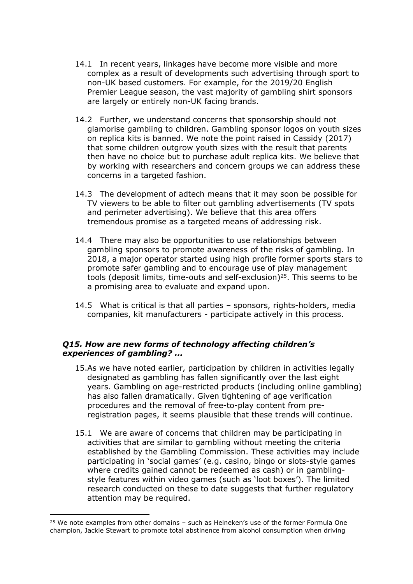- 14.1 In recent years, linkages have become more visible and more complex as a result of developments such advertising through sport to non-UK based customers. For example, for the 2019/20 English Premier League season, the vast majority of gambling shirt sponsors are largely or entirely non-UK facing brands.
- 14.2 Further, we understand concerns that sponsorship should not glamorise gambling to children. Gambling sponsor logos on youth sizes on replica kits is banned. We note the point raised in Cassidy (2017) that some children outgrow youth sizes with the result that parents then have no choice but to purchase adult replica kits. We believe that by working with researchers and concern groups we can address these concerns in a targeted fashion.
- 14.3 The development of adtech means that it may soon be possible for TV viewers to be able to filter out gambling advertisements (TV spots and perimeter advertising). We believe that this area offers tremendous promise as a targeted means of addressing risk.
- 14.4 There may also be opportunities to use relationships between gambling sponsors to promote awareness of the risks of gambling. In 2018, a major operator started using high profile former sports stars to promote safer gambling and to encourage use of play management tools (deposit limits, time-outs and self-exclusion)<sup>25</sup>. This seems to be a promising area to evaluate and expand upon.
- 14.5 What is critical is that all parties sponsors, rights-holders, media companies, kit manufacturers - participate actively in this process.

# *Q15. How are new forms of technology affecting children's experiences of gambling? ...*

- 15.As we have noted earlier, participation by children in activities legally designated as gambling has fallen significantly over the last eight years. Gambling on age-restricted products (including online gambling) has also fallen dramatically. Given tightening of age verification procedures and the removal of free-to-play content from preregistration pages, it seems plausible that these trends will continue.
- 15.1 We are aware of concerns that children may be participating in activities that are similar to gambling without meeting the criteria established by the Gambling Commission. These activities may include participating in 'social games' (e.g. casino, bingo or slots-style games where credits gained cannot be redeemed as cash) or in gamblingstyle features within video games (such as 'loot boxes'). The limited research conducted on these to date suggests that further regulatory attention may be required.

 $25$  We note examples from other domains – such as Heineken's use of the former Formula One champion, Jackie Stewart to promote total abstinence from alcohol consumption when driving